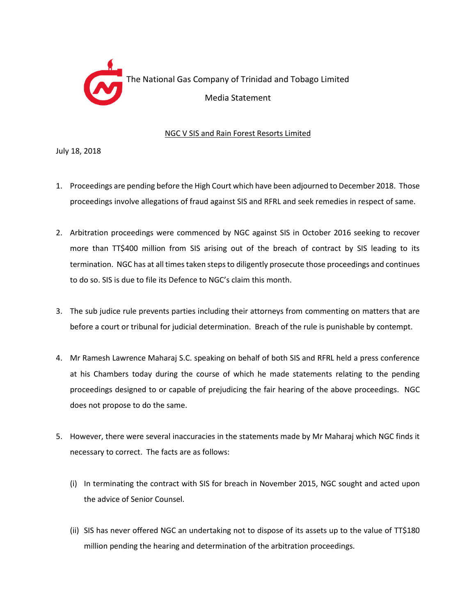

## NGC V SIS and Rain Forest Resorts Limited

July 18, 2018

- 1. Proceedings are pending before the High Court which have been adjourned to December 2018. Those proceedings involve allegations of fraud against SIS and RFRL and seek remedies in respect of same.
- 2. Arbitration proceedings were commenced by NGC against SIS in October 2016 seeking to recover more than TT\$400 million from SIS arising out of the breach of contract by SIS leading to its termination. NGC has at all times taken steps to diligently prosecute those proceedings and continues to do so. SIS is due to file its Defence to NGC's claim this month.
- 3. The sub judice rule prevents parties including their attorneys from commenting on matters that are before a court or tribunal for judicial determination. Breach of the rule is punishable by contempt.
- 4. Mr Ramesh Lawrence Maharaj S.C. speaking on behalf of both SIS and RFRL held a press conference at his Chambers today during the course of which he made statements relating to the pending proceedings designed to or capable of prejudicing the fair hearing of the above proceedings. NGC does not propose to do the same.
- 5. However, there were several inaccuracies in the statements made by Mr Maharaj which NGC finds it necessary to correct. The facts are as follows:
	- (i) In terminating the contract with SIS for breach in November 2015, NGC sought and acted upon the advice of Senior Counsel.
	- (ii) SIS has never offered NGC an undertaking not to dispose of its assets up to the value of TT\$180 million pending the hearing and determination of the arbitration proceedings.